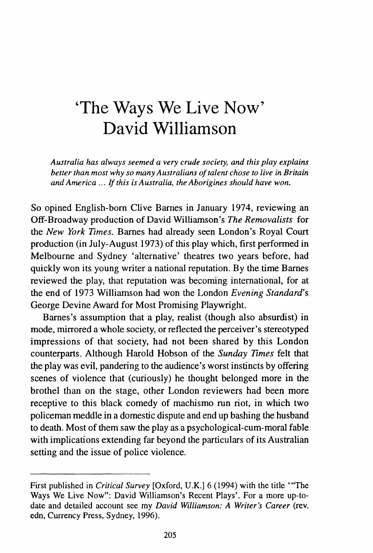## **'The Ways We Live Now' David Williamson**

*Australia has always seemed a very crude society, and this play explains better than most why so many Australians of talent chose to live in Britain and America ...* If *this is Australia, the Aborigines should have won.* 

So opined English-born Clive Barnes in January 1974, reviewing an Off-Broadway production of David Williamson's *The Removalists* for the *New York Times.* Barnes had already seen London's Royal Court production (in July-August 1973) of this play which, first performed in Melbourne and Sydney 'alternative' theatres two years before, had quickly won its young writer a national reputation. By the time Barnes reviewed the play, that reputation was becoming international, for at the end of 1973 Williamson had won the London *Evening Standard's*  George Devine Award for Most Promising Playwright.

Barnes's assumption that a play, realist (though also absurdist) in mode, mirrored a whole society, or reflected the perceiver's stereotyped impressions of that society, had not been shared by this London counterparts. Although Harold Hobson of the *Sunday Times* felt that the play was evil, pandering to the audience's worst instincts by offering scenes of violence that (curiously) he thought belonged more in the brothel than on the stage, other London reviewers had been more receptive to this black comedy of machismo run riot, in which two policeman meddle in a domestic dispute and end up bashing the husband to death. Most of them saw the play as a psychological-cum-moral fable with implications extending far beyond the particulars of its Australian setting and the issue of police violence.

First published in *Critical Survey* [Oxford, U.K.] 6 (1994) with the title '"The Ways We Live Now": David Williamson's Recent Plays'. For a more up-todate and detailed account see my *David Williamson: A Writer's Career* (rev. edn, Currency Press, Sydney, 1996).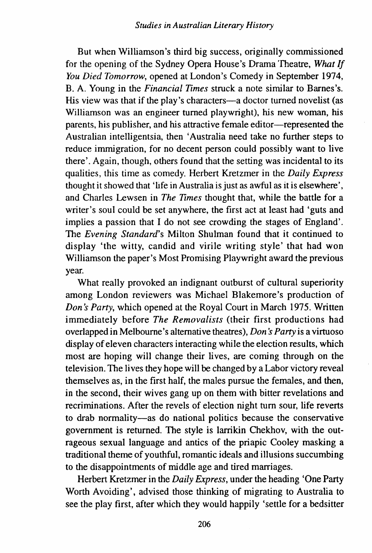But when Williamson's third big success, originally commissioned for the opening of the Sydney Opera House's Drama Theatre, *What If You Died Tomorrow,* opened at London's Comedy in September 1974, B. A. Young in the *Financial Times* struck a note similar to Barnes's. His view was that if the play's characters—a doctor turned novelist (as Williamson was an engineer turned playwright), his new woman, his parents, his publisher, and his attractive female editor-represented the Australian intelligentsia, then 'Australia need take no further steps to reduce immigration, for no decent person could possibly want to live there'. Again, though, others found that the setting was incidental to its qualities, this time as comedy. Herbert Kretzmer in the *Daily Express*  thought it showed that 'life in Australia is just as awful as it is elsewhere', and Charles Lewsen in *The Times* thought that, while the battle for a writer's soul could be set anywhere, the first act at least had 'guts and implies a passion that I do not see crowding the stages of England'. The *Evening Standard's* Milton Shulman found that it continued to display 'the witty, candid and virile writing style' that had won Williamson the paper's Most Promising Playwright award the previous year.

What really provoked an indignant outburst of cultural superiority among London reviewers was Michael Blakemore's production of *Don's Party, which opened at the Royal Court in March 1975. Written* immediately before *The Removalists* (their first productions had overlapped in Melbourne's alternative theatres), *Don's Party* is a virtuoso display of eleven characters interacting while the election results, which most are hoping will change their lives, are coming through on the television. The lives they hope will be changed by a Labor victory reveal themselves as, in the first half, the males pursue the females, and then, in the second, their wives gang up on them with bitter revelations and recriminations. After the revels of election night turn sour, life reverts to drab normality-as do national politics because the conservative government is returned. The style is larrikin Chekhov, with the outrageous sexual language and antics of the priapic Cooley masking a traditional theme of youthful, romantic ideals and illusions succumbing to the disappointments of middle age and tired marriages.

Herbert Kretzmer in the *Daily Express,* under the heading 'One Party Worth Avoiding', advised those thinking of migrating to Australia to see the play first, after which they would happily 'settle for a bedsitter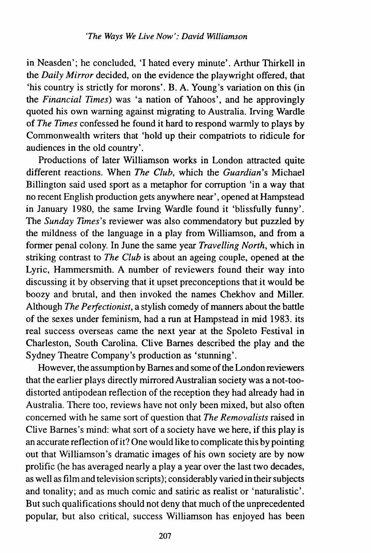in Neasden'; he concluded, 'I hated every minute'. Arthur Thirkell in the *Daily Mirror* decided, on the evidence the playwright offered, that 'his country is strictly for morons'. B. A. Young's variation on this (in the *Financial Times)* was 'a nation of Yahoos', and he approvingly quoted his own warning against migrating to Australia. Irving Wardle of *The Times* confessed he found it hard to respond warmly to plays by Commonwealth writers that 'hold up their compatriots to ridicule for audiences in the old country'.

Productions of later Williamson works in London attracted quite different reactions. When *The Club,* which the *Guardian's* Michael Billington said used sport as a metaphor for corruption 'in a way that no recent English production gets anywhere near', opened at Hampstead in January 1980, the same Irving Wardle found it 'blissfully funny'. The *Sunday Times's* reviewer was also commendatory but puzzled by the mildness of the language in a play from Williamson, and from a former penal colony. In June the same year *Travelling North,* which in striking contrast to *The Club* is about an ageing couple, opened at the Lyric, Hammersmith. A number of reviewers found their way into discussing it by observing that it upset preconceptions that it would be boozy and brutal, and then invoked the names Chekhov and Miller. Although *The Perfectionist,* a stylish comedy of manners about the battle of the sexes under feminism, had a run at Hampstead in mid 1983. its real success overseas came the next year at the Spoleto Festival in Charleston, South Carolina. Clive Barnes described the play and the Sydney Theatre Company's production as 'stunning'.

However, the assumption by Barnes and some of the London reviewers that the earlier plays directly mirrored Australian society was a not-toodistorted antipodean reflection of the reception they had already had in Australia. There too, reviews have not only been mixed, but also often concerned with he same sort of question that *The Removalists* raised in Clive Barnes's mind: what sort of a society have we here, if this play is an accurate reflection of it? One would like to complicate this by pointing out that Williamson's dramatic images of his own society are by now prolific (he has averaged nearly a play a year over the last two decades, as well as film and television scripts); considerably varied in their subjects and tonality; and as much comic and satiric as realist or 'naturalistic'. But such qualifications should not deny that much of the unprecedented popular, but also critical, success Williamson has enjoyed has been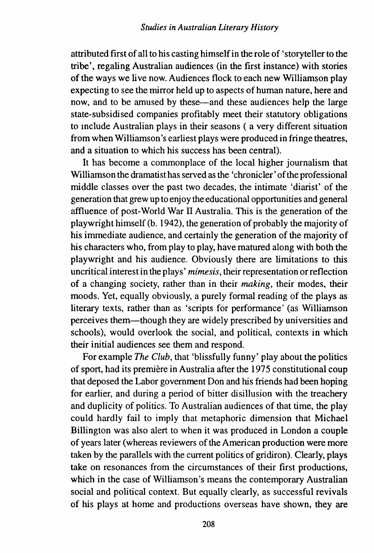attributed first of all to his casting himself in the role of 'storyteller to the tribe', regaling Australian audiences (in the first instance) with stories of the ways we live now. Audiences flock to each new Williamson play expecting to see the mirror held up to aspects of human nature, here and now, and to be amused by these--and these audiences help the large state-subsidised companies profitably meet their statutory obligations to include Australian plays in their seasons ( a very different situation from when Williamson's earliest plays were produced in fringe theatres, and a situation to which his success has been central).

It has become a commonplace of the local higher journalism that Williamson the dramatist has served as the 'chronicler' of the professional middle classes over the past two decades, the intimate 'diarist' of the generation that grew up to enjoy the educational opportunities and geneml affluence of post-World War ll Australia. This is the generation of the playwright himself (b. 1942), the generation of probably the majority of his immediate audience, and certainly the generation of the majority of his characters who, from play to play, have matured along with both the playwright and his audience. Obviously there are limitations to this uncritical interest in the plays' *mimesis,* their representation or reflection of a changing society, rather than in their *making,* their modes, their moods. Yet, equally obviously, a purely formal reading of the plays as literary texts, rather than as 'scripts for performance' (as Williamson perceives them-though they are widely prescribed by universities and schools), would overlook the social, and political, contexts in which their initial audiences see them and respond.

For example *The Club,* that 'blissfully funny' play about the politics of sport, had its première in Australia after the 1975 constitutional coup that deposed the Labor government Don and his friends had been hoping for earlier, and during a period of bitter disillusion with the treachery and duplicity of politics. To Australian audiences of that time, the play could hardly fail to imply that metaphoric dimension that Michael Billington was also alert to when it was produced in London a couple of years later (whereas reviewers of the American production were more taken by the parallels with the current politics of gridiron). Clearly, plays take on resonances from the circumstances of their first productions, which in the case of Williamson's means the contemporary Australian social and political context. But equally clearly, as successful revivals of his plays at home and productions overseas have shown, they are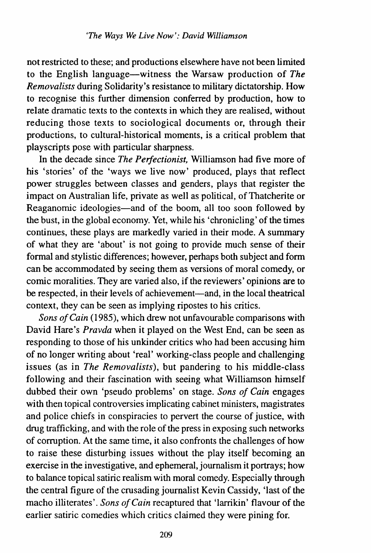not restricted to these; and productions elsewhere have not been limited to the English language-witness the Warsaw production of *The Removalists* during Solidarity's resistance to military dictatorship. How to recognise this further dimension conferred by production, how to relate dramatic texts to the contexts in which they are realised, without reducing those texts to sociological documents or, through their productions, to cultural-historical moments, is a critical problem that playscripts pose with particular sharpness.

In the decade since *The Perfectionist,* Williamson had five more of his 'stories' of the 'ways we live now' produced, plays that reflect power struggles between classes and genders, plays that register the impact on Australian life, private as well as political, of Thatcherite or Reaganomic ideologies-and of the boom, all too soon followed by the bust, in the global economy. Yet, while his 'chronicling' of the times continues, these plays are markedly varied in their mode. A summary of what they are 'about' is not going to provide much sense of their formal and stylistic differences; however, perhaps both subject and form can be accommodated by seeing them as versions of moral comedy, or comic moralities. They are varied also, if the reviewers' opinions are to be respected, in their levels of achievement-and, in the local theatrical context, they can be seen as implying ripostes to his critics.

*Sons of Cain* (1985), which drew not unfavourable comparisons with David Hare's *Pravda* when it played on the West End, can be seen as responding to those of his unkinder critics who had been accusing him of no longer writing about 'real' working-class people and challenging issues (as in *The Removalists),* but pandering to his middle-class following and their fascination with seeing what Williamson himself dubbed their own 'pseudo problems' on stage. *Sons of Cain* engages with then topical controversies implicating cabinet ministers, magistrates and police chiefs in conspiracies to pervert the course of justice, with drug trafficking, and with the role of the press in exposing such networks of corruption. At the same time, it also confronts the challenges of how to raise these disturbing issues without the play itself becoming an exercise in the investigative, and ephemeral, journalism it portrays; how to balance topical satiric realism with moral comedy. Especially through the central figure of the crusading journalist Kevin Cassidy, 'last of the macho illiterates'. *Sons of Cain* recaptured that 'larrikin' flavour of the earlier satiric comedies which critics claimed they were pining for.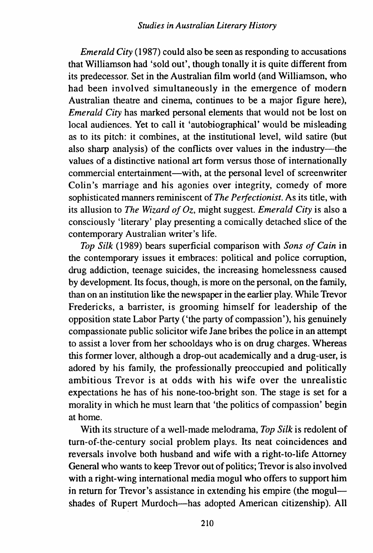*Eme raid City* ( 1987) could also be seen as responding to accusations that Williamson had 'sold out', though tonally it is quite different from its predecessor. Set in the Australian film world (and Williamson, who had been involved simultaneously in the emergence of modern Australian theatre and cinema, continues to be a major figure here), *Emerald City* has marked personal elements that would not be lost on local audiences. Yet to call it 'autobiographical' would be misleading as to its pitch: it combines, at the institutional level, wild satire (but also sharp analysis) of the conflicts over values in the industry--- the values of a distinctive national art form versus those of internationally commercial entertainment-with, at the personal level of screenwriter Colin's marriage and his agonies over integrity, comedy of more sophisticated manners reminiscent of *The Perfectionist.* As its title, with its allusion to *The Wizard of Oz.* might suggest. *Emerald City* is also a consciously 'literary' play presenting a comically detached slice of the contemporary Australian writer's life.

*Top Silk* (1989) bears superficial comparison with *Sons of Cain* in the contemporary issues it embraces: political and police corruption, drug addiction, teenage suicides, the increasing homelessness caused by development. Its focus, though, is more on the personal, on the family, than on an institution like the newspaper in the earlier play. While Trevor Fredericks, a barrister, is grooming himself for leadership of the opposition state Labor Party ('the party of compassion'), his genuinely compassionate public solicitor wife Jane bribes the police in an attempt to assist a lover from her schooldays who is on drug charges. Whereas this former lover, although a drop-out academically and a drug-user, is adored by his family, the professionally preoccupied and politically ambitious Trevor is at odds with his wife over the unrealistic expectations he has of his none-too-bright son. The stage is set for a morality in which he must learn that 'the politics of compassion' begin at home.

With its structure of a well-made melodrama, *Top Silk* is redolent of turn-of-the-century social problem plays. Its neat coincidences and reversals involve both husband and wife with a right-to-life Attorney General who wants to keep Trevor out of politics; Trevor is also involved with a right-wing international media mogul who offers to support him in return for Trevor's assistance in extending his empire (the mogul shades of Rupert Murdoch-has adopted American citizenship). All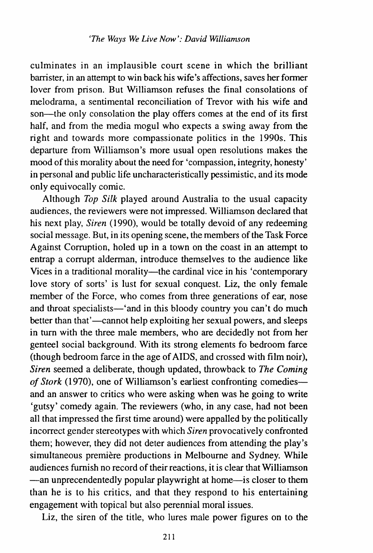culminates in an implausible court scene in which the brilliant barrister, in an attempt to win back his wife's affections, saves her former lover from prison. But Williamson refuses the final consolations of melodrama, a sentimental reconciliation of Trevor with his wife and son—the only consolation the play offers comes at the end of its first half, and from the media mogul who expects a swing away from the right and towards more compassionate politics in the 1990s. This departure from Williamson's more usual open resolutions makes the mood of this morality about the need for 'compassion, integrity, honesty' in personal and public life uncharacteristically pessimistic, and its mode only equivocally comic.

Although *Top Silk* played around Australia to the usual capacity audiences, the reviewers were not impressed. Williamson declared that his next play, *Siren* (1990), would be totally devoid of any redeeming social message. But, in its opening scene, the members of the Task Force Against Corruption, holed up in a town on the coast in an attempt to entrap a corrupt alderman, introduce themselves to the audience like Vices in a traditional morality—the cardinal vice in his 'contemporary love story of sorts' is lust for sexual conquest. Liz, the only female member of the Force, who comes from three generations of ear, nose and throat specialists—'and in this bloody country you can't do much better than that'—cannot help exploiting her sexual powers, and sleeps in tum with the three male members, who are decidedly not from her genteel social background. With its strong elements fo bedroom farce (though bedroom farce in the age of AIDS, and crossed with film noir), *Siren* seemed a deliberate, though updated, throwback to *The Coming of Stork* (1970), one of Williamson's earliest confronting comediesand an answer to critics who were asking when was he going to write 'gutsy' comedy again. The reviewers (who, in any case, had not been all that impressed the first time around) were appalled by the politically incorrect gender stereotypes with which *Siren* provocatively confronted them; however, they did not deter audiences from attending the play's simultaneous première productions in Melbourne and Sydney. While audiences furnish no record of their reactions, it is clear that Williamson -an unprecendentedly popular playwright at home-is closer to them than he is to his critics, and that they respond to his entertaining engagement with topical but also perennial moral issues.

Liz, the siren of the title, who lures male power figures on to the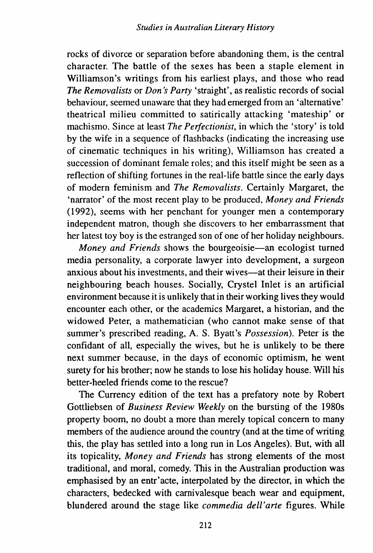rocks of divorce or separation before abandoning them, is the central character. The battle of the sexes has been a staple element in Williamson's writings from his earliest plays, and those who read *The Removalists or Don's Party 'straight'*, as realistic records of social behaviour, seemed unaware that they had emerged from an 'alternative' theatrical milieu committed to satirically attacking 'mateship' or machismo. Since at least *The Perfectionist,* in which the 'story' is told by the wife in a sequence of flashbacks (indicating the increasing use of cinematic techniques in his writing), Williamson has created a succession of dominant female roles; and this itself might be seen as a reflection of shifting fortunes in the real-life battle since the early days of modern feminism and *The Removalists.* Certainly Margaret, the 'narrator' of the most recent play to be produced, *Money and Friends*  (1992), seems with her penchant for younger men a contemporary independent matron, though she discovers to her embarrassment that her latest toy boy is the estranged son of one of her holiday neighbours.

*Money and Friends* shows the bourgeoisie—an ecologist turned media personality, a corporate lawyer into development, a surgeon anxious about his investments, and their wives-at their leisure in their neighbouring beach houses. Socia1ly, Crystel Inlet is an artificial environment because it is unlikely that in their working lives they would encounter each other, or the academics Margaret, a historian, and the widowed Peter, a mathematician (who cannot make sense of that summer's prescribed reading, A. S. Byatt's *Possession).* Peter is the confidant of all, especially the wives, but he is unlikely to be there next summer because, in the days of economic optimism, he went surety for his brother; now he stands to lose his holiday house. Will his better-heeled friends come to the rescue?

The Currency edition of the text has a prefatory note by Robert Gottliebsen of *Business Review Weekly* on the bursting of the 1980s property boom, no doubt a more than merely topical concern to many members of the audience around the country (and at the time of writing this, the play has settled into a long run in Los Angeles). But, with all its topicality, *Money and Friends* has strong elements of the most traditional, and moral, comedy. This in the Australian production was emphasised by an entr'acte, interpolated by the director, in which the characters, bedecked with carnivalesque beach wear and equipment, blundered around the stage like *commedia dell'arte* figures. While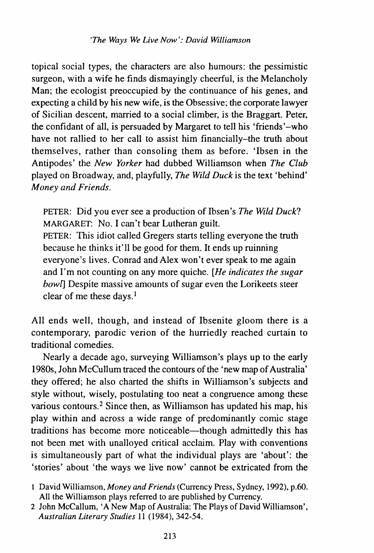topical social types, the characters are also humours: the pessimistic surgeon, with a wife he finds dismayingly cheerful, is the Melancholy Man; the ecologist preoccupied by the continuance of his genes, and expecting a child by his new wife, is the Obsessive; the corporate lawyer of Sicilian descent, married to a social climber, is the Braggart. Peter, the confidant of all, is persuaded by Margaret to tell his 'friends'-who have not rallied to her call to assist him financially-the truth about themselves, rather than consoling them as before. 'Ibsen in the Antipodes' the *New Yorker* had dubbed Williamson when *The Club*  played on Broadway, and, playfully, *The Wild Duck* is the text 'behind' *Money and Friends.* 

PETER: Did you ever see a production of Ibsen's *The Wild Duck?*  MARGARET: No. I can't bear Lutheran guilt. PETER: This idiot called Gregers starts telling everyone the truth because he thinks it'll be good for them. It ends up ruinning everyone's lives. Conrad and Alex won't ever speak to me again and I'm not counting on any more quiche. *[He indicates the sugar bowl]* Despite massive amounts of sugar even the Lorikeets steer clear of me these days.<sup>1</sup>

All ends well, though, and instead of lbsenite gloom there is a contemporary, parodic verion of the hurriedly reached curtain to traditional comedies.

Nearly a decade ago, surveying Williamson's plays up to the early 1980s, John McCullum traced the contours of the 'new map of Australia' they offered; he also charted the shifts in Williamson's subjects and style without, wisely, postulating too neat a congruence among these various contours.<sup>2</sup> Since then, as Williamson has updated his map, his play within and across a wide range of predominantly comic stage traditions has become more noticeable—though admittedly this has not been met with unalloyed critical acclaim. Play with conventions is simultaneously part of what the individual plays are 'about': the 'stories' about 'the ways we live now' cannot be extricated from the

- I David Williamson, *Money and Friends* (Currency Press, Sydney, 1992), p.60. All the Williamson plays referred to are published by Currency.
- 2 John McCallum, 'A New Map of Australia: The Plays of David Williamson', *Australian Literary Studies* 11 ( 1984 ), 342-54.